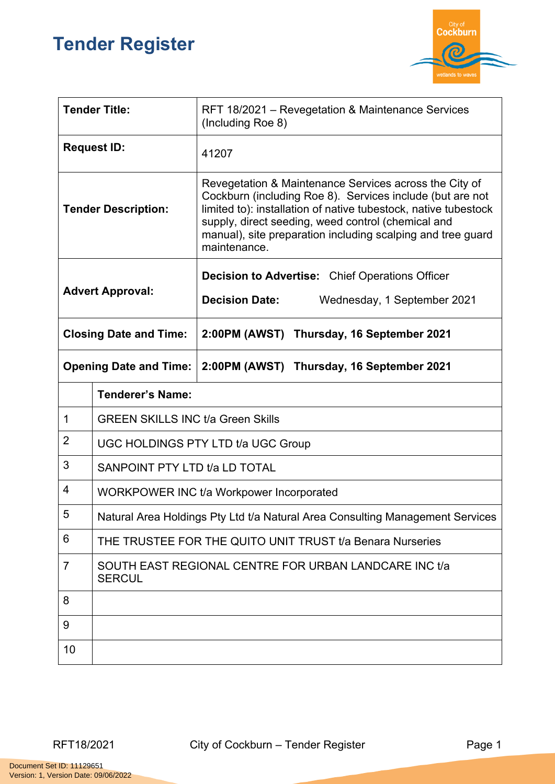## **Tender Register**



| <b>Tender Title:</b>          |                                                                               | RFT 18/2021 – Revegetation & Maintenance Services<br>(Including Roe 8)                                                                                                                                                                                                                                                      |  |
|-------------------------------|-------------------------------------------------------------------------------|-----------------------------------------------------------------------------------------------------------------------------------------------------------------------------------------------------------------------------------------------------------------------------------------------------------------------------|--|
| <b>Request ID:</b>            |                                                                               | 41207                                                                                                                                                                                                                                                                                                                       |  |
| <b>Tender Description:</b>    |                                                                               | Revegetation & Maintenance Services across the City of<br>Cockburn (including Roe 8). Services include (but are not<br>limited to): installation of native tubestock, native tubestock<br>supply, direct seeding, weed control (chemical and<br>manual), site preparation including scalping and tree guard<br>maintenance. |  |
| <b>Advert Approval:</b>       |                                                                               | <b>Decision to Advertise:</b> Chief Operations Officer                                                                                                                                                                                                                                                                      |  |
|                               |                                                                               | <b>Decision Date:</b><br>Wednesday, 1 September 2021                                                                                                                                                                                                                                                                        |  |
| <b>Closing Date and Time:</b> |                                                                               | 2:00PM (AWST) Thursday, 16 September 2021                                                                                                                                                                                                                                                                                   |  |
| <b>Opening Date and Time:</b> |                                                                               | 2:00PM (AWST) Thursday, 16 September 2021                                                                                                                                                                                                                                                                                   |  |
|                               | <b>Tenderer's Name:</b>                                                       |                                                                                                                                                                                                                                                                                                                             |  |
| 1                             | <b>GREEN SKILLS INC t/a Green Skills</b>                                      |                                                                                                                                                                                                                                                                                                                             |  |
| $\overline{2}$                | <b>UGC HOLDINGS PTY LTD t/a UGC Group</b>                                     |                                                                                                                                                                                                                                                                                                                             |  |
| 3                             | SANPOINT PTY LTD t/a LD TOTAL                                                 |                                                                                                                                                                                                                                                                                                                             |  |
| 4                             | WORKPOWER INC t/a Workpower Incorporated                                      |                                                                                                                                                                                                                                                                                                                             |  |
| $\overline{5}$                | Natural Area Holdings Pty Ltd t/a Natural Area Consulting Management Services |                                                                                                                                                                                                                                                                                                                             |  |
| 6                             | THE TRUSTEE FOR THE QUITO UNIT TRUST t/a Benara Nurseries                     |                                                                                                                                                                                                                                                                                                                             |  |
| $\overline{7}$                | SOUTH EAST REGIONAL CENTRE FOR URBAN LANDCARE INC t/a<br><b>SERCUL</b>        |                                                                                                                                                                                                                                                                                                                             |  |
| 8                             |                                                                               |                                                                                                                                                                                                                                                                                                                             |  |
| 9                             |                                                                               |                                                                                                                                                                                                                                                                                                                             |  |
| 10                            |                                                                               |                                                                                                                                                                                                                                                                                                                             |  |